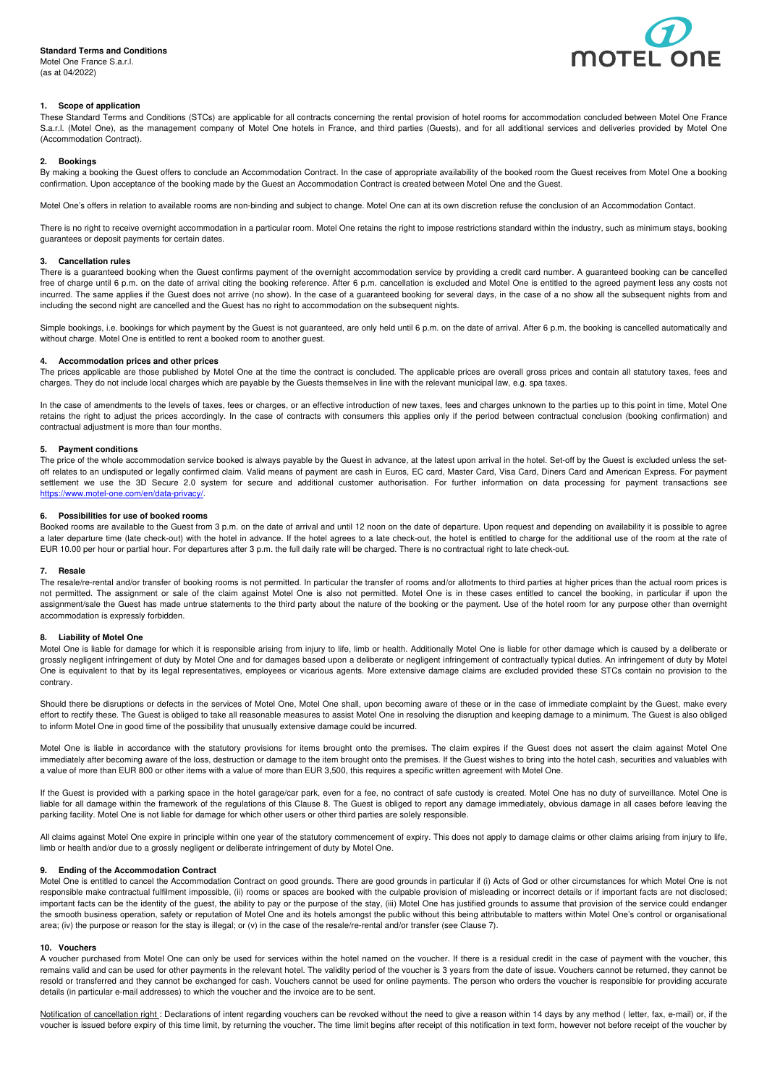# **Standard Terms and Conditions**

Motel One France S.a.r.l. (as at 04/2022)



# **1. Scope of application**

These Standard Terms and Conditions (STCs) are applicable for all contracts concerning the rental provision of hotel rooms for accommodation concluded between Motel One France S.a.r.l. (Motel One), as the management company of Motel One hotels in France, and third parties (Guests), and for all additional services and deliveries provided by Motel One (Accommodation Contract).

## **2. Bookings**

By making a booking the Guest offers to conclude an Accommodation Contract. In the case of appropriate availability of the booked room the Guest receives from Motel One a booking confirmation. Upon acceptance of the booking made by the Guest an Accommodation Contract is created between Motel One and the Guest.

Motel One's offers in relation to available rooms are non-binding and subject to change. Motel One can at its own discretion refuse the conclusion of an Accommodation Contact.

There is no right to receive overnight accommodation in a particular room. Motel One retains the right to impose restrictions standard within the industry, such as minimum stays, booking guarantees or deposit payments for certain dates.

# **3. Cancellation rules**

There is a guaranteed booking when the Guest confirms payment of the overnight accommodation service by providing a credit card number. A guaranteed booking can be cancelled free of charge until 6 p.m. on the date of arrival citing the booking reference. After 6 p.m. cancellation is excluded and Motel One is entitled to the agreed payment less any costs not incurred. The same applies if the Guest does not arrive (no show). In the case of a guaranteed booking for several days, in the case of a no show all the subsequent nights from and including the second night are cancelled and the Guest has no right to accommodation on the subsequent nights.

Simple bookings, i.e. bookings for which payment by the Guest is not guaranteed, are only held until 6 p.m. on the date of arrival. After 6 p.m. the booking is cancelled automatically and without charge. Motel One is entitled to rent a booked room to another guest.

### **4. Accommodation prices and other prices**

The prices applicable are those published by Motel One at the time the contract is concluded. The applicable prices are overall gross prices and contain all statutory taxes, fees and charges. They do not include local charges which are payable by the Guests themselves in line with the relevant municipal law, e.g. spa taxes.

In the case of amendments to the levels of taxes, fees or charges, or an effective introduction of new taxes, fees and charges unknown to the parties up to this point in time, Motel One retains the right to adjust the prices accordingly. In the case of contracts with consumers this applies only if the period between contractual conclusion (booking confirmation) and contractual adjustment is more than four months.

# **5. Payment conditions**

The price of the whole accommodation service booked is always payable by the Guest in advance, at the latest upon arrival in the hotel. Set-off by the Guest is excluded unless the setoff relates to an undisputed or legally confirmed claim. Valid means of payment are cash in Euros, EC card, Master Card, Visa Card, Diners Card and American Express. For payment settlement we use the 3D Secure 2.0 system for secure and additional customer authorisation. For further information on data processing for payment transactions see https://www.motel-one.com/en/data-privacy/.

#### **6. Possibilities for use of booked rooms**

Booked rooms are available to the Guest from 3 p.m. on the date of arrival and until 12 noon on the date of departure. Upon request and depending on availability it is possible to agree a later departure time (late check-out) with the hotel in advance. If the hotel agrees to a late check-out, the hotel is entitled to charge for the additional use of the room at the rate of EUR 10.00 per hour or partial hour. For departures after 3 p.m. the full daily rate will be charged. There is no contractual right to late check-out.

### **7. Resale**

The resale/re-rental and/or transfer of booking rooms is not permitted. In particular the transfer of rooms and/or allotments to third parties at higher prices than the actual room prices is not permitted. The assignment or sale of the claim against Motel One is also not permitted. Motel One is in these cases entitled to cancel the booking, in particular if upon the assignment/sale the Guest has made untrue statements to the third party about the nature of the booking or the payment. Use of the hotel room for any purpose other than overnight accommodation is expressly forbidden.

# **8. Liability of Motel One**

Motel One is liable for damage for which it is responsible arising from injury to life, limb or health. Additionally Motel One is liable for other damage which is caused by a deliberate or grossly negligent infringement of duty by Motel One and for damages based upon a deliberate or negligent infringement of contractually typical duties. An infringement of duty by Motel One is equivalent to that by its legal representatives, employees or vicarious agents. More extensive damage claims are excluded provided these STCs contain no provision to the contrary.

Should there be disruptions or defects in the services of Motel One, Motel One shall, upon becoming aware of these or in the case of immediate complaint by the Guest, make every effort to rectify these. The Guest is obliged to take all reasonable measures to assist Motel One in resolving the disruption and keeping damage to a minimum. The Guest is also obliged to inform Motel One in good time of the possibility that unusually extensive damage could be incurred.

Motel One is liable in accordance with the statutory provisions for items brought onto the premises. The claim expires if the Guest does not assert the claim against Motel One immediately after becoming aware of the loss, destruction or damage to the item brought onto the premises. If the Guest wishes to bring into the hotel cash, securities and valuables with a value of more than EUR 800 or other items with a value of more than EUR 3,500, this requires a specific written agreement with Motel One.

If the Guest is provided with a parking space in the hotel garage/car park, even for a fee, no contract of safe custody is created. Motel One has no duty of surveillance. Motel One is liable for all damage within the framework of the regulations of this Clause 8. The Guest is obliged to report any damage immediately, obvious damage in all cases before leaving the parking facility. Motel One is not liable for damage for which other users or other third parties are solely responsible.

All claims against Motel One expire in principle within one year of the statutory commencement of expiry. This does not apply to damage claims or other claims arising from injury to life, limb or health and/or due to a grossly negligent or deliberate infringement of duty by Motel One.

## **9. Ending of the Accommodation Contract**

Motel One is entitled to cancel the Accommodation Contract on good grounds. There are good grounds in particular if (i) Acts of God or other circumstances for which Motel One is not responsible make contractual fulfilment impossible, (ii) rooms or spaces are booked with the culpable provision of misleading or incorrect details or if important facts are not disclosed; important facts can be the identity of the guest, the ability to pay or the purpose of the stay, (iii) Motel One has justified grounds to assume that provision of the service could endanger the smooth business operation, safety or reputation of Motel One and its hotels amongst the public without this being attributable to matters within Motel One's control or organisational area; (iv) the purpose or reason for the stay is illegal; or (v) in the case of the resale/re-rental and/or transfer (see Clause 7).

#### **10. Vouchers**

A voucher purchased from Motel One can only be used for services within the hotel named on the voucher. If there is a residual credit in the case of payment with the voucher, this remains valid and can be used for other payments in the relevant hotel. The validity period of the voucher is 3 years from the date of issue. Vouchers cannot be returned, they cannot be resold or transferred and they cannot be exchanged for cash. Vouchers cannot be used for online payments. The person who orders the voucher is responsible for providing accurate details (in particular e-mail addresses) to which the voucher and the invoice are to be sent.

Notification of cancellation right : Declarations of intent regarding vouchers can be revoked without the need to give a reason within 14 days by any method (letter, fax, e-mail) or, if the voucher is issued before expiry of this time limit, by returning the voucher. The time limit begins after receipt of this notification in text form, however not before receipt of the voucher by